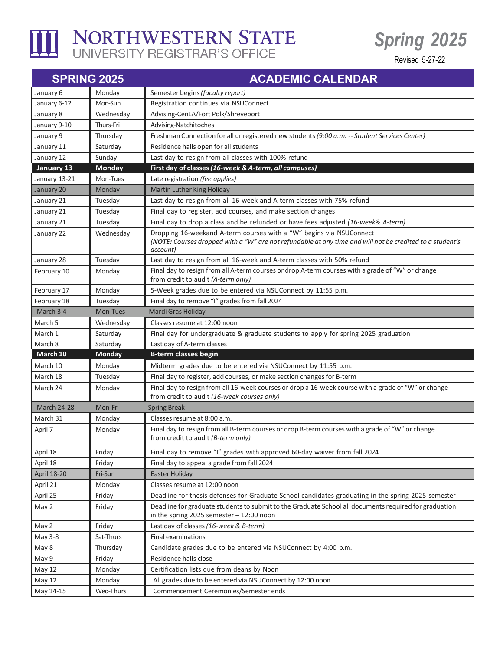

## I NORTHWESTERN STATE

## *Spring 2025*

Revised 5-27-22

| <b>SPRING 2025</b> |               | <b>ACADEMIC CALENDAR</b>                                                                                                                                                                    |
|--------------------|---------------|---------------------------------------------------------------------------------------------------------------------------------------------------------------------------------------------|
| January 6          | Monday        | Semester begins (faculty report)                                                                                                                                                            |
| January 6-12       | Mon-Sun       | Registration continues via NSUConnect                                                                                                                                                       |
| January 8          | Wednesday     | Advising-CenLA/Fort Polk/Shreveport                                                                                                                                                         |
| January 9-10       | Thurs-Fri     | Advising-Natchitoches                                                                                                                                                                       |
| January 9          | Thursday      | Freshman Connection for all unregistered new students (9:00 a.m. -- Student Services Center)                                                                                                |
| January 11         | Saturday      | Residence halls open for all students                                                                                                                                                       |
| January 12         | Sunday        | Last day to resign from all classes with 100% refund                                                                                                                                        |
| January 13         | Monday        | First day of classes (16-week & A-term, all campuses)                                                                                                                                       |
| January 13-21      | Mon-Tues      | Late registration (fee applies)                                                                                                                                                             |
| January 20         | Monday        | Martin Luther King Holiday                                                                                                                                                                  |
| January 21         | Tuesday       | Last day to resign from all 16-week and A-term classes with 75% refund                                                                                                                      |
| January 21         | Tuesday       | Final day to register, add courses, and make section changes                                                                                                                                |
| January 21         | Tuesday       | Final day to drop a class and be refunded or have fees adjusted (16-week& A-term)                                                                                                           |
| January 22         | Wednesday     | Dropping 16-weekand A-term courses with a "W" begins via NSUConnect<br>(NOTE: Courses dropped with a "W" are not refundable at any time and will not be credited to a student's<br>account) |
| January 28         | Tuesday       | Last day to resign from all 16-week and A-term classes with 50% refund                                                                                                                      |
| February 10        | Monday        | Final day to resign from all A-term courses or drop A-term courses with a grade of "W" or change<br>from credit to audit (A-term only)                                                      |
| February 17        | Monday        | 5-Week grades due to be entered via NSUConnect by 11:55 p.m.                                                                                                                                |
| February 18        | Tuesday       | Final day to remove "I" grades from fall 2024                                                                                                                                               |
| March 3-4          | Mon-Tues      | Mardi Gras Holiday                                                                                                                                                                          |
| March 5            | Wednesday     | Classes resume at 12:00 noon                                                                                                                                                                |
| March 1            | Saturday      | Final day for undergraduate & graduate students to apply for spring 2025 graduation                                                                                                         |
| March 8            | Saturday      | Last day of A-term classes                                                                                                                                                                  |
| March 10           | <b>Monday</b> | <b>B-term classes begin</b>                                                                                                                                                                 |
| March 10           | Monday        | Midterm grades due to be entered via NSUConnect by 11:55 p.m.                                                                                                                               |
| March 18           | Tuesday       | Final day to register, add courses, or make section changes for B-term                                                                                                                      |
| March 24           | Monday        | Final day to resign from all 16-week courses or drop a 16-week course with a grade of "W" or change<br>from credit to audit (16-week courses only)                                          |
| <b>March 24-28</b> | Mon-Fri       | <b>Spring Break</b>                                                                                                                                                                         |
| March 31           | Monday        | Classes resume at 8:00 a.m.                                                                                                                                                                 |
| April 7            | Monday        | Final day to resign from all B-term courses or drop B-term courses with a grade of "W" or change<br>from credit to audit (B-term only)                                                      |
| April 18           | Friday        | Final day to remove "I" grades with approved 60-day waiver from fall 2024                                                                                                                   |
| April 18           | Friday        | Final day to appeal a grade from fall 2024                                                                                                                                                  |
| <b>April 18-20</b> | Fri-Sun       | Easter Holiday                                                                                                                                                                              |
| April 21           | Monday        | Classes resume at 12:00 noon                                                                                                                                                                |
| April 25           | Friday        | Deadline for thesis defenses for Graduate School candidates graduating in the spring 2025 semester                                                                                          |
| May 2              | Friday        | Deadline for graduate students to submit to the Graduate School all documents required for graduation<br>in the spring 2025 semester $-12:00$ noon                                          |
| May 2              | Friday        | Last day of classes (16-week & B-term)                                                                                                                                                      |
| May 3-8            | Sat-Thurs     | Final examinations                                                                                                                                                                          |
| May 8              | Thursday      | Candidate grades due to be entered via NSUConnect by 4:00 p.m.                                                                                                                              |
| May 9              | Friday        | Residence halls close                                                                                                                                                                       |
| May 12             | Monday        | Certification lists due from deans by Noon                                                                                                                                                  |
| May 12             | Monday        | All grades due to be entered via NSUConnect by 12:00 noon                                                                                                                                   |
| May 14-15          | Wed-Thurs     | Commencement Ceremonies/Semester ends                                                                                                                                                       |